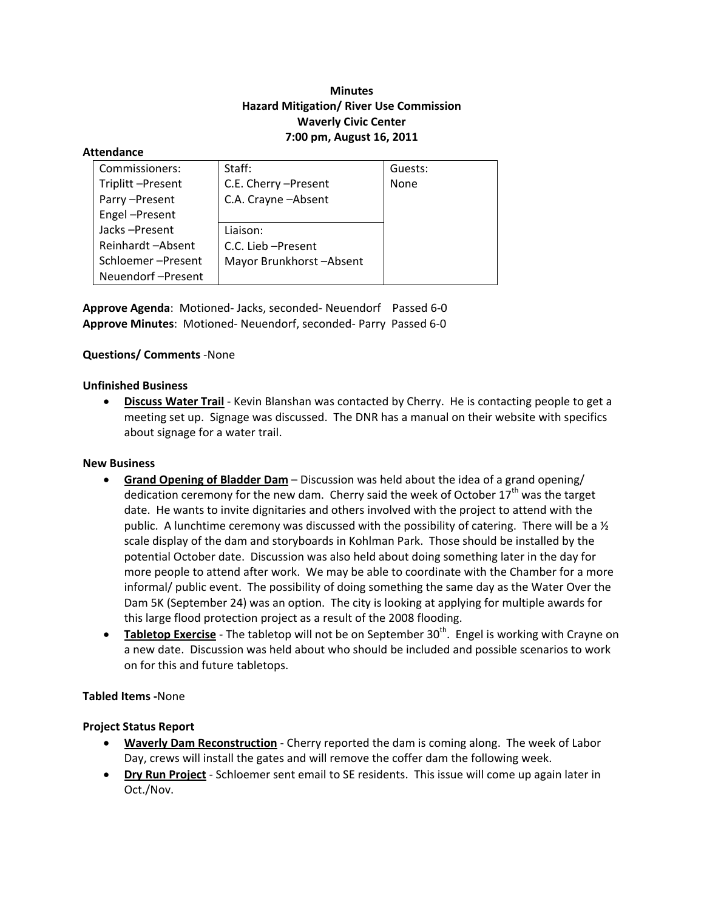# **Minutes Hazard Mitigation/ River Use Commission Waverly Civic Center 7:00 pm, August 16, 2011**

#### **Attendance**

| Commissioners:    | Staff:                  | Guests: |
|-------------------|-------------------------|---------|
| Triplitt-Present  | C.E. Cherry - Present   | None    |
| Parry-Present     | C.A. Crayne - Absent    |         |
| Engel-Present     |                         |         |
| Jacks-Present     | Liaison:                |         |
| Reinhardt-Absent  | C.C. Lieb - Present     |         |
| Schloemer-Present | Mayor Brunkhorst-Absent |         |
| Neuendorf-Present |                         |         |

**Approve Agenda**: Motioned‐ Jacks, seconded‐ Neuendorf Passed 6‐0 **Approve Minutes**: Motioned‐ Neuendorf, seconded‐ Parry Passed 6‐0

### **Questions/ Comments** ‐None

### **Unfinished Business**

 **Discuss Water Trail** ‐ Kevin Blanshan was contacted by Cherry. He is contacting people to get a meeting set up. Signage was discussed. The DNR has a manual on their website with specifics about signage for a water trail.

### **New Business**

- **Grand Opening of Bladder Dam** Discussion was held about the idea of a grand opening/ dedication ceremony for the new dam. Cherry said the week of October  $17<sup>th</sup>$  was the target date. He wants to invite dignitaries and others involved with the project to attend with the public. A lunchtime ceremony was discussed with the possibility of catering. There will be a  $\frac{1}{2}$ scale display of the dam and storyboards in Kohlman Park. Those should be installed by the potential October date. Discussion was also held about doing something later in the day for more people to attend after work. We may be able to coordinate with the Chamber for a more informal/ public event. The possibility of doing something the same day as the Water Over the Dam 5K (September 24) was an option. The city is looking at applying for multiple awards for this large flood protection project as a result of the 2008 flooding.
- **Tabletop Exercise** The tabletop will not be on September 30<sup>th</sup>. Engel is working with Crayne on a new date. Discussion was held about who should be included and possible scenarios to work on for this and future tabletops.

### **Tabled Items ‐**None

### **Project Status Report**

- **Waverly Dam Reconstruction** ‐ Cherry reported the dam is coming along. The week of Labor Day, crews will install the gates and will remove the coffer dam the following week.
- **Dry Run Project** Schloemer sent email to SE residents. This issue will come up again later in Oct./Nov.